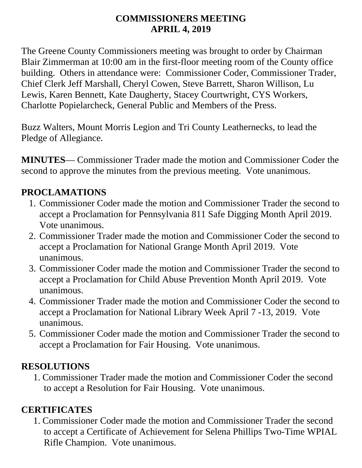#### **COMMISSIONERS MEETING APRIL 4, 2019**

The Greene County Commissioners meeting was brought to order by Chairman Blair Zimmerman at 10:00 am in the first-floor meeting room of the County office building. Others in attendance were: Commissioner Coder, Commissioner Trader, Chief Clerk Jeff Marshall, Cheryl Cowen, Steve Barrett, Sharon Willison, Lu Lewis, Karen Bennett, Kate Daugherty, Stacey Courtwright, CYS Workers, Charlotte Popielarcheck, General Public and Members of the Press.

Buzz Walters, Mount Morris Legion and Tri County Leathernecks, to lead the Pledge of Allegiance.

**MINUTES**— Commissioner Trader made the motion and Commissioner Coder the second to approve the minutes from the previous meeting. Vote unanimous.

#### **PROCLAMATIONS**

- 1. Commissioner Coder made the motion and Commissioner Trader the second to accept a Proclamation for Pennsylvania 811 Safe Digging Month April 2019. Vote unanimous.
- 2. Commissioner Trader made the motion and Commissioner Coder the second to accept a Proclamation for National Grange Month April 2019. Vote unanimous.
- 3. Commissioner Coder made the motion and Commissioner Trader the second to accept a Proclamation for Child Abuse Prevention Month April 2019. Vote unanimous.
- 4. Commissioner Trader made the motion and Commissioner Coder the second to accept a Proclamation for National Library Week April 7 -13, 2019. Vote unanimous.
- 5. Commissioner Coder made the motion and Commissioner Trader the second to accept a Proclamation for Fair Housing. Vote unanimous.

#### **RESOLUTIONS**

1. Commissioner Trader made the motion and Commissioner Coder the second to accept a Resolution for Fair Housing. Vote unanimous.

#### **CERTIFICATES**

1. Commissioner Coder made the motion and Commissioner Trader the second to accept a Certificate of Achievement for Selena Phillips Two-Time WPIAL Rifle Champion. Vote unanimous.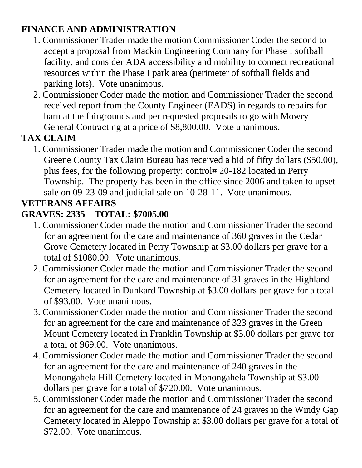### **FINANCE AND ADMINISTRATION**

- 1. Commissioner Trader made the motion Commissioner Coder the second to accept a proposal from Mackin Engineering Company for Phase I softball facility, and consider ADA accessibility and mobility to connect recreational resources within the Phase I park area (perimeter of softball fields and parking lots). Vote unanimous.
- 2. Commissioner Coder made the motion and Commissioner Trader the second received report from the County Engineer (EADS) in regards to repairs for barn at the fairgrounds and per requested proposals to go with Mowry General Contracting at a price of \$8,800.00. Vote unanimous.

# **TAX CLAIM**

1. Commissioner Trader made the motion and Commissioner Coder the second Greene County Tax Claim Bureau has received a bid of fifty dollars (\$50.00), plus fees, for the following property: control# 20-182 located in Perry Township. The property has been in the office since 2006 and taken to upset sale on 09-23-09 and judicial sale on 10-28-11. Vote unanimous.

# **VETERANS AFFAIRS**

## **GRAVES: 2335 TOTAL: \$7005.00**

- 1. Commissioner Coder made the motion and Commissioner Trader the second for an agreement for the care and maintenance of 360 graves in the Cedar Grove Cemetery located in Perry Township at \$3.00 dollars per grave for a total of \$1080.00. Vote unanimous.
- 2. Commissioner Coder made the motion and Commissioner Trader the second for an agreement for the care and maintenance of 31 graves in the Highland Cemetery located in Dunkard Township at \$3.00 dollars per grave for a total of \$93.00. Vote unanimous.
- 3. Commissioner Coder made the motion and Commissioner Trader the second for an agreement for the care and maintenance of 323 graves in the Green Mount Cemetery located in Franklin Township at \$3.00 dollars per grave for a total of 969.00. Vote unanimous.
- 4. Commissioner Coder made the motion and Commissioner Trader the second for an agreement for the care and maintenance of 240 graves in the Monongahela Hill Cemetery located in Monongahela Township at \$3.00 dollars per grave for a total of \$720.00. Vote unanimous.
- 5. Commissioner Coder made the motion and Commissioner Trader the second for an agreement for the care and maintenance of 24 graves in the Windy Gap Cemetery located in Aleppo Township at \$3.00 dollars per grave for a total of \$72.00. Vote unanimous.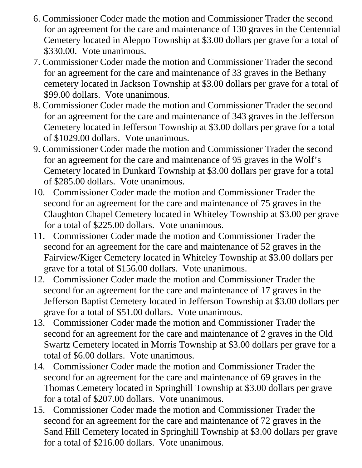- 6. Commissioner Coder made the motion and Commissioner Trader the second for an agreement for the care and maintenance of 130 graves in the Centennial Cemetery located in Aleppo Township at \$3.00 dollars per grave for a total of \$330.00. Vote unanimous.
- 7. Commissioner Coder made the motion and Commissioner Trader the second for an agreement for the care and maintenance of 33 graves in the Bethany cemetery located in Jackson Township at \$3.00 dollars per grave for a total of \$99.00 dollars. Vote unanimous.
- 8. Commissioner Coder made the motion and Commissioner Trader the second for an agreement for the care and maintenance of 343 graves in the Jefferson Cemetery located in Jefferson Township at \$3.00 dollars per grave for a total of \$1029.00 dollars. Vote unanimous.
- 9. Commissioner Coder made the motion and Commissioner Trader the second for an agreement for the care and maintenance of 95 graves in the Wolf's Cemetery located in Dunkard Township at \$3.00 dollars per grave for a total of \$285.00 dollars. Vote unanimous.
- 10. Commissioner Coder made the motion and Commissioner Trader the second for an agreement for the care and maintenance of 75 graves in the Claughton Chapel Cemetery located in Whiteley Township at \$3.00 per grave for a total of \$225.00 dollars. Vote unanimous.
- 11. Commissioner Coder made the motion and Commissioner Trader the second for an agreement for the care and maintenance of 52 graves in the Fairview/Kiger Cemetery located in Whiteley Township at \$3.00 dollars per grave for a total of \$156.00 dollars. Vote unanimous.
- 12. Commissioner Coder made the motion and Commissioner Trader the second for an agreement for the care and maintenance of 17 graves in the Jefferson Baptist Cemetery located in Jefferson Township at \$3.00 dollars per grave for a total of \$51.00 dollars. Vote unanimous.
- 13. Commissioner Coder made the motion and Commissioner Trader the second for an agreement for the care and maintenance of 2 graves in the Old Swartz Cemetery located in Morris Township at \$3.00 dollars per grave for a total of \$6.00 dollars. Vote unanimous.
- 14. Commissioner Coder made the motion and Commissioner Trader the second for an agreement for the care and maintenance of 69 graves in the Thomas Cemetery located in Springhill Township at \$3.00 dollars per grave for a total of \$207.00 dollars. Vote unanimous.
- 15. Commissioner Coder made the motion and Commissioner Trader the second for an agreement for the care and maintenance of 72 graves in the Sand Hill Cemetery located in Springhill Township at \$3.00 dollars per grave for a total of \$216.00 dollars. Vote unanimous.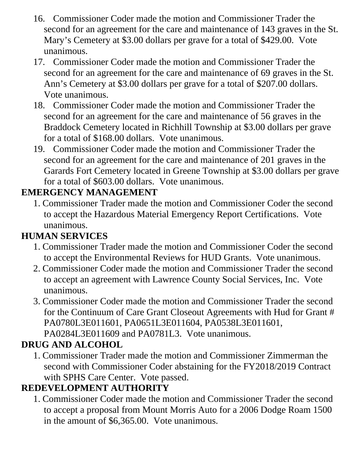- 16. Commissioner Coder made the motion and Commissioner Trader the second for an agreement for the care and maintenance of 143 graves in the St. Mary's Cemetery at \$3.00 dollars per grave for a total of \$429.00. Vote unanimous.
- 17. Commissioner Coder made the motion and Commissioner Trader the second for an agreement for the care and maintenance of 69 graves in the St. Ann's Cemetery at \$3.00 dollars per grave for a total of \$207.00 dollars. Vote unanimous.
- 18. Commissioner Coder made the motion and Commissioner Trader the second for an agreement for the care and maintenance of 56 graves in the Braddock Cemetery located in Richhill Township at \$3.00 dollars per grave for a total of \$168.00 dollars. Vote unanimous.
- 19. Commissioner Coder made the motion and Commissioner Trader the second for an agreement for the care and maintenance of 201 graves in the Garards Fort Cemetery located in Greene Township at \$3.00 dollars per grave for a total of \$603.00 dollars. Vote unanimous.

#### **EMERGENCY MANAGEMENT**

1. Commissioner Trader made the motion and Commissioner Coder the second to accept the Hazardous Material Emergency Report Certifications. Vote unanimous.

## **HUMAN SERVICES**

- 1. Commissioner Trader made the motion and Commissioner Coder the second to accept the Environmental Reviews for HUD Grants. Vote unanimous.
- 2. Commissioner Coder made the motion and Commissioner Trader the second to accept an agreement with Lawrence County Social Services, Inc. Vote unanimous.
- 3. Commissioner Coder made the motion and Commissioner Trader the second for the Continuum of Care Grant Closeout Agreements with Hud for Grant # PA0780L3E011601, PA0651L3E011604, PA0538L3E011601, PA0284L3E011609 and PA0781L3. Vote unanimous.

#### **DRUG AND ALCOHOL**

1. Commissioner Trader made the motion and Commissioner Zimmerman the second with Commissioner Coder abstaining for the FY2018/2019 Contract with SPHS Care Center. Vote passed.

#### **REDEVELOPMENT AUTHORITY**

1. Commissioner Coder made the motion and Commissioner Trader the second to accept a proposal from Mount Morris Auto for a 2006 Dodge Roam 1500 in the amount of \$6,365.00. Vote unanimous.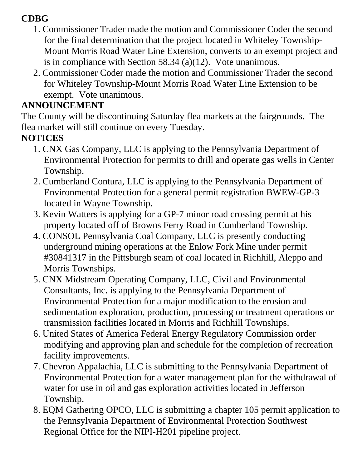### **CDBG**

- 1. Commissioner Trader made the motion and Commissioner Coder the second for the final determination that the project located in Whiteley Township-Mount Morris Road Water Line Extension, converts to an exempt project and is in compliance with Section 58.34 (a)(12). Vote unanimous.
- 2. Commissioner Coder made the motion and Commissioner Trader the second for Whiteley Township-Mount Morris Road Water Line Extension to be exempt. Vote unanimous.

## **ANNOUNCEMENT**

The County will be discontinuing Saturday flea markets at the fairgrounds. The flea market will still continue on every Tuesday.

# **NOTICES**

- 1. CNX Gas Company, LLC is applying to the Pennsylvania Department of Environmental Protection for permits to drill and operate gas wells in Center Township.
- 2. Cumberland Contura, LLC is applying to the Pennsylvania Department of Environmental Protection for a general permit registration BWEW-GP-3 located in Wayne Township.
- 3. Kevin Watters is applying for a GP-7 minor road crossing permit at his property located off of Browns Ferry Road in Cumberland Township.
- 4. CONSOL Pennsylvania Coal Company, LLC is presently conducting underground mining operations at the Enlow Fork Mine under permit #30841317 in the Pittsburgh seam of coal located in Richhill, Aleppo and Morris Townships.
- 5. CNX Midstream Operating Company, LLC, Civil and Environmental Consultants, Inc. is applying to the Pennsylvania Department of Environmental Protection for a major modification to the erosion and sedimentation exploration, production, processing or treatment operations or transmission facilities located in Morris and Richhill Townships.
- 6. United States of America Federal Energy Regulatory Commission order modifying and approving plan and schedule for the completion of recreation facility improvements.
- 7. Chevron Appalachia, LLC is submitting to the Pennsylvania Department of Environmental Protection for a water management plan for the withdrawal of water for use in oil and gas exploration activities located in Jefferson Township.
- 8. EQM Gathering OPCO, LLC is submitting a chapter 105 permit application to the Pennsylvania Department of Environmental Protection Southwest Regional Office for the NIPI-H201 pipeline project.